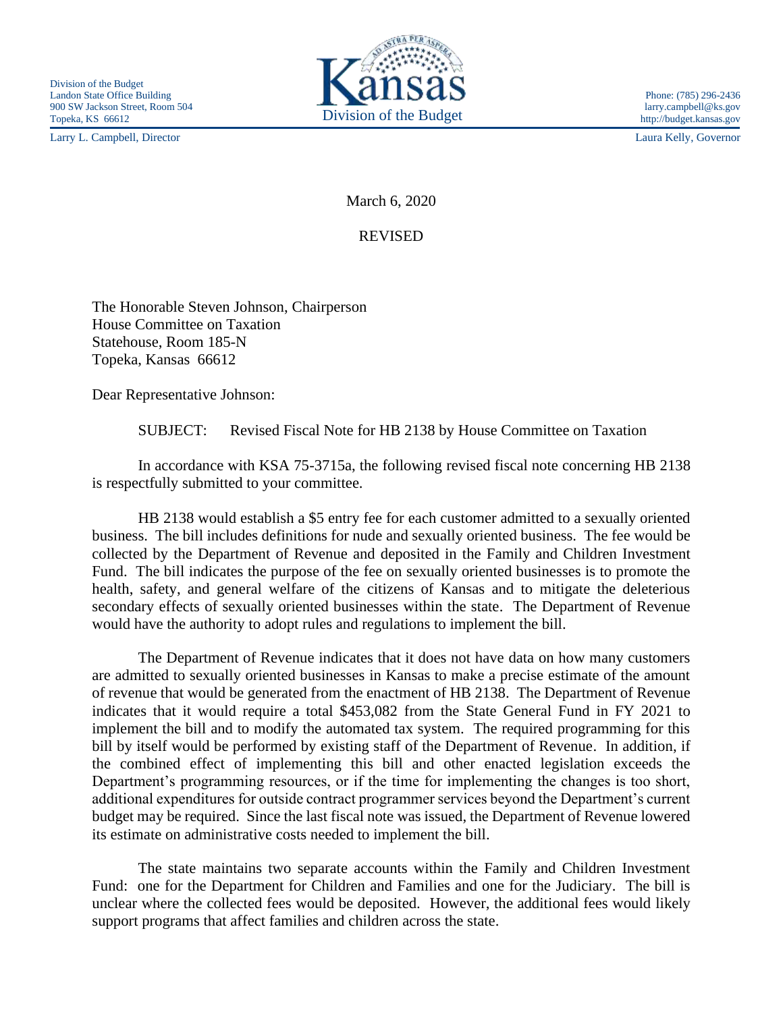Larry L. Campbell, Director Laura Kelly, Governor



March 6, 2020

REVISED

The Honorable Steven Johnson, Chairperson House Committee on Taxation Statehouse, Room 185-N Topeka, Kansas 66612

Dear Representative Johnson:

SUBJECT: Revised Fiscal Note for HB 2138 by House Committee on Taxation

In accordance with KSA 75-3715a, the following revised fiscal note concerning HB 2138 is respectfully submitted to your committee.

HB 2138 would establish a \$5 entry fee for each customer admitted to a sexually oriented business. The bill includes definitions for nude and sexually oriented business. The fee would be collected by the Department of Revenue and deposited in the Family and Children Investment Fund. The bill indicates the purpose of the fee on sexually oriented businesses is to promote the health, safety, and general welfare of the citizens of Kansas and to mitigate the deleterious secondary effects of sexually oriented businesses within the state. The Department of Revenue would have the authority to adopt rules and regulations to implement the bill.

The Department of Revenue indicates that it does not have data on how many customers are admitted to sexually oriented businesses in Kansas to make a precise estimate of the amount of revenue that would be generated from the enactment of HB 2138. The Department of Revenue indicates that it would require a total \$453,082 from the State General Fund in FY 2021 to implement the bill and to modify the automated tax system. The required programming for this bill by itself would be performed by existing staff of the Department of Revenue. In addition, if the combined effect of implementing this bill and other enacted legislation exceeds the Department's programming resources, or if the time for implementing the changes is too short, additional expenditures for outside contract programmer services beyond the Department's current budget may be required. Since the last fiscal note was issued, the Department of Revenue lowered its estimate on administrative costs needed to implement the bill.

The state maintains two separate accounts within the Family and Children Investment Fund: one for the Department for Children and Families and one for the Judiciary. The bill is unclear where the collected fees would be deposited. However, the additional fees would likely support programs that affect families and children across the state.